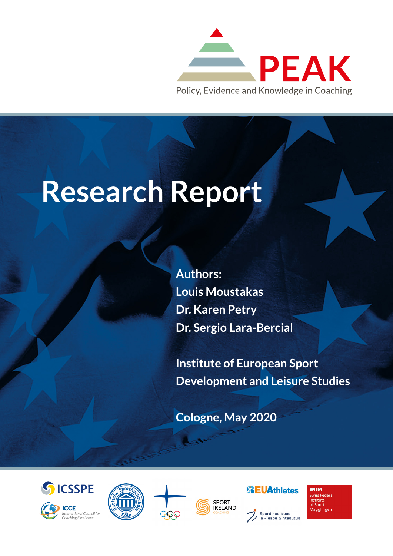

# **Research Report**

**Authors: Louis Moustakas Dr. Karen Petry Dr. Sergio Lara-Bercial**

**Institute of European Sport Development and Leisure Studies**

**Cologne, May 2020**













**SFISM Swiss Federa** Institute<br>of Sport Magglingen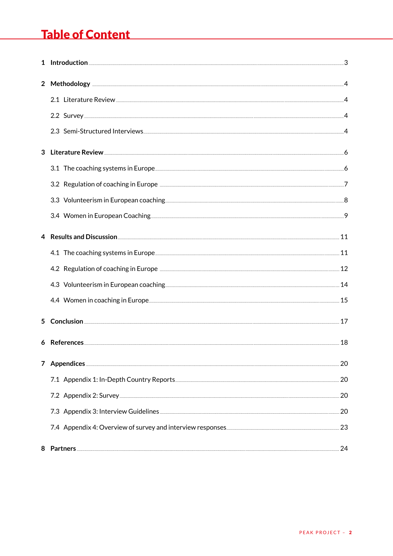# Table of Content Table of Content

| $\mathbf{2}$ |                                                                                                                                                                                                                                |    |
|--------------|--------------------------------------------------------------------------------------------------------------------------------------------------------------------------------------------------------------------------------|----|
|              | 2.1 Literature Review 4 and 2.1 Alterature Review 4 and 2.1 Alterature Review 4 and 2.1 Alterature Review 4 and 2.1 Alterature 2.4 Alterature 2.4 Alterature 2.4 Alterature 2.4 Alterature 2.4 Alterature 2.4 Alterature 2.4 A |    |
|              | 2.2 Survey 4 and 2.2 Survey 2.2 Survey 2.2 Survey 2.2 Survey 2.2 Survey 2.2 Survey 2.2 Survey 2.2 Survey 2.2 Survey 2.2 Survey 2.2 Survey 2.2 Survey 2.2 Survey 2.2 Survey 2.2 Survey 2.2 Survey 2.2 Survey 2.2 Survey 2.2 Sur |    |
|              |                                                                                                                                                                                                                                |    |
|              | 3 Literature Review 66 (1996) 66 (1997) 66 (1998) 67 (1998) 67 (1998) 67 (1998) 67 (1998) 67 (1998) 67 (1998) 68 (1998) 69 (1998) 69 (1998) 69 (1998) 69 (1998) 69 (1998) 69 (1998) 69 (1998) 69 (1998) 69 (1998) 69 (1998) 69 |    |
|              |                                                                                                                                                                                                                                |    |
|              | 3.2 Regulation of coaching in Europe <b>Europe 2016</b> 2017 12:00 2017 7                                                                                                                                                      |    |
|              |                                                                                                                                                                                                                                |    |
|              |                                                                                                                                                                                                                                |    |
|              |                                                                                                                                                                                                                                |    |
|              |                                                                                                                                                                                                                                |    |
|              | 4.2 Regulation of coaching in Europe <b>Europe 2016</b> 2017 12                                                                                                                                                                |    |
|              |                                                                                                                                                                                                                                |    |
|              |                                                                                                                                                                                                                                |    |
| 5.           |                                                                                                                                                                                                                                |    |
|              | 6 References 18 and the contract of the contract of the contract of the contract of the contract of the contract of the contract of the contract of the contract of the contract of the contract of the contract of the contra |    |
| 7            |                                                                                                                                                                                                                                | 20 |
|              |                                                                                                                                                                                                                                |    |
|              |                                                                                                                                                                                                                                |    |
|              | 7.3 Appendix 3: Interview Guidelines 20 and the set of the set of the set of the set of the set of the set of the set of the set of the set of the set of the set of the set of the set of the set of the set of the set of th |    |
|              |                                                                                                                                                                                                                                |    |
|              |                                                                                                                                                                                                                                | 24 |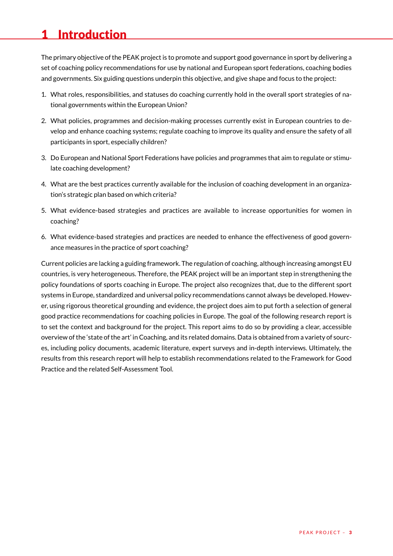# <span id="page-2-0"></span>1 Introduction

The primary objective of the PEAK project is to promote and support good governance in sport by delivering a set of coaching policy recommendations for use by national and European sport federations, coaching bodies and governments. Six guiding questions underpin this objective, and give shape and focus to the project:

- 1. What roles, responsibilities, and statuses do coaching currently hold in the overall sport strategies of national governments within the European Union?
- 2. What policies, programmes and decision-making processes currently exist in European countries to develop and enhance coaching systems; regulate coaching to improve its quality and ensure the safety of all participants in sport, especially children?
- 3. Do European and National Sport Federations have policies and programmes that aim to regulate or stimulate coaching development?
- 4. What are the best practices currently available for the inclusion of coaching development in an organization's strategic plan based on which criteria?
- 5. What evidence-based strategies and practices are available to increase opportunities for women in coaching?
- 6. What evidence-based strategies and practices are needed to enhance the effectiveness of good governance measures in the practice of sport coaching?

Current policies are lacking a guiding framework. The regulation of coaching, although increasing amongst EU countries, is very heterogeneous. Therefore, the PEAK project will be an important step in strengthening the policy foundations of sports coaching in Europe. The project also recognizes that, due to the different sport systems in Europe, standardized and universal policy recommendations cannot always be developed. However, using rigorous theoretical grounding and evidence, the project does aim to put forth a selection of general good practice recommendations for coaching policies in Europe. The goal of the following research report is to set the context and background for the project. This report aims to do so by providing a clear, accessible overview of the 'state of the art' in Coaching, and its related domains. Data is obtained from a variety of sources, including policy documents, academic literature, expert surveys and in-depth interviews. Ultimately, the results from this research report will help to establish recommendations related to the Framework for Good Practice and the related Self-Assessment Tool.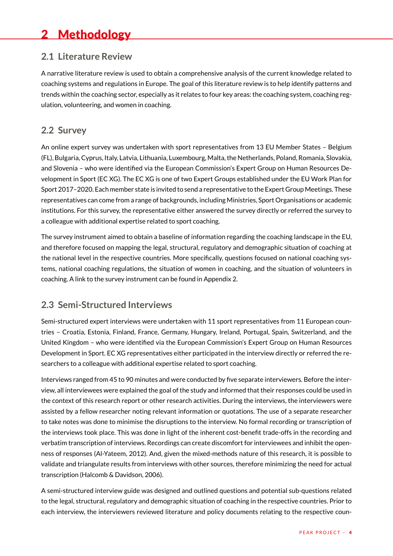# <span id="page-3-0"></span>2 Methodology

#### **2.1 Literature Review**

A narrative literature review is used to obtain a comprehensive analysis of the current knowledge related to coaching systems and regulations in Europe. The goal of this literature review is to help identify patterns and trends within the coaching sector, especially as it relates to four key areas: the coaching system, coaching regulation, volunteering, and women in coaching.

## **2.2 Survey**

An online expert survey was undertaken with sport representatives from 13 EU Member States – Belgium (FL), Bulgaria, Cyprus, Italy, Latvia, Lithuania, Luxembourg, Malta, the Netherlands, Poland, Romania, Slovakia, and Slovenia – who were identified via the European Commission's Expert Group on Human Resources Development in Sport (EC XG). The EC XG is one of two Expert Groups established under the EU Work Plan for Sport 2017–2020. Each member state is invited to send a representative to the Expert Group Meetings. These representatives can come from a range of backgrounds, including Ministries, Sport Organisations or academic institutions. For this survey, the representative either answered the survey directly or referred the survey to a colleague with additional expertise related to sport coaching.

The survey instrument aimed to obtain a baseline of information regarding the coaching landscape in the EU, and therefore focused on mapping the legal, structural, regulatory and demographic situation of coaching at the national level in the respective countries. More specifically, questions focused on national coaching systems, national coaching regulations, the situation of women in coaching, and the situation of volunteers in coaching. A link to the survey instrument can be found in Appendix 2.

#### **2.3 Semi-Structured Interviews**

Semi-structured expert interviews were undertaken with 11 sport representatives from 11 European countries – Croatia, Estonia, Finland, France, Germany, Hungary, Ireland, Portugal, Spain, Switzerland, and the United Kingdom – who were identified via the European Commission's Expert Group on Human Resources Development in Sport. EC XG representatives either participated in the interview directly or referred the researchers to a colleague with additional expertise related to sport coaching.

Interviews ranged from 45 to 90 minutes and were conducted by five separate interviewers. Before the interview, all interviewees were explained the goal of the study and informed that their responses could be used in the context of this research report or other research activities. During the interviews, the interviewers were assisted by a fellow researcher noting relevant information or quotations. The use of a separate researcher to take notes was done to minimise the disruptions to the interview. No formal recording or transcription of the interviews took place. This was done in light of the inherent cost-benefit trade-offs in the recording and verbatim transcription of interviews. Recordings can create discomfort for interviewees and inhibit the openness of responses (Al-Yateem, 2012). And, given the mixed-methods nature of this research, it is possible to validate and triangulate results from interviews with other sources, therefore minimizing the need for actual transcription (Halcomb & Davidson, 2006).

A semi-structured interview guide was designed and outlined questions and potential sub-questions related to the legal, structural, regulatory and demographic situation of coaching in the respective countries. Prior to each interview, the interviewers reviewed literature and policy documents relating to the respective coun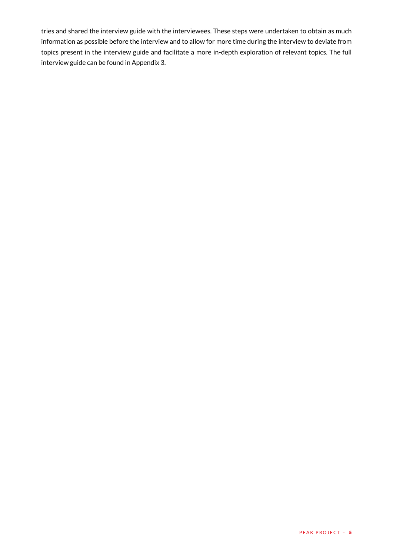tries and shared the interview guide with the interviewees. These steps were undertaken to obtain as much information as possible before the interview and to allow for more time during the interview to deviate from topics present in the interview guide and facilitate a more in-depth exploration of relevant topics. The full interview guide can be found in Appendix 3.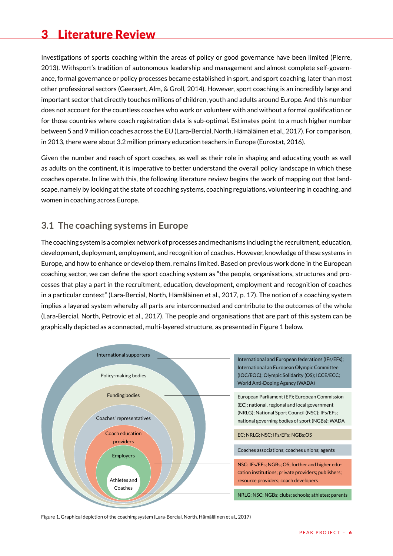# <span id="page-5-0"></span>3 Literature Review

Investigations of sports coaching within the areas of policy or good governance have been limited (Pierre, 2013). Withsport's tradition of autonomous leadership and management and almost complete self-governance, formal governance or policy processes became established in sport, and sport coaching, later than most other professional sectors (Geeraert, Alm, & Groll, 2014). However, sport coaching is an incredibly large and important sector that directly touches millions of children, youth and adults around Europe. And this number does not account for the countless coaches who work or volunteer with and without a formal qualification or for those countries where coach registration data is sub-optimal. Estimates point to a much higher number between 5 and 9 million coaches across the EU (Lara-Bercial, North, Hämäläinen et al., 2017). For comparison, in 2013, there were about 3.2 million primary education teachers in Europe (Eurostat, 2016).

Given the number and reach of sport coaches, as well as their role in shaping and educating youth as well as adults on the continent, it is imperative to better understand the overall policy landscape in which these coaches operate. In line with this, the following literature review begins the work of mapping out that landscape, namely by looking at the state of coaching systems, coaching regulations, volunteering in coaching, and women in coaching across Europe.

#### **3.1 The coaching systems in Europe**

The coaching system is a complex network of processes and mechanisms including the recruitment, education, development, deployment, employment, and recognition of coaches. However, knowledge of these systems in Europe, and how to enhance or develop them, remains limited. Based on previous work done in the European coaching sector, we can define the sport coaching system as "the people, organisations, structures and processes that play a part in the recruitment, education, development, employment and recognition of coaches in a particular context" (Lara-Bercial, North, Hämäläinen et al., 2017, p. 17). The notion of a coaching system implies a layered system whereby all parts are interconnected and contribute to the outcomes of the whole (Lara-Bercial, North, Petrovic et al., 2017). The people and organisations that are part of this system can be graphically depicted as a connected, multi-layered structure, as presented in Figure 1 below.



Figure 1. Graphical depiction of the coaching system (Lara-Bercial, North, Hämäläinen et al., 2017)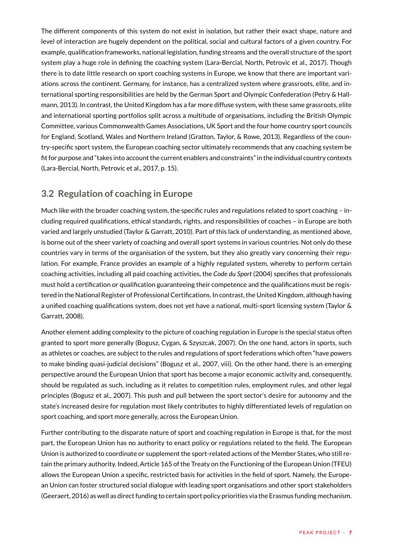<span id="page-6-0"></span>The different components of this system do not exist in isolation, but rather their exact shape, nature and level of interaction are hugely dependent on the political, social and cultural factors of a given country. For example, qualification frameworks, national legislation, funding streams and the overall structure of the sport system play a huge role in defining the coaching system (Lara-Bercial, North, Petrovic et al., 2017). Though there is to date little research on sport coaching systems in Europe, we know that there are important variations across the continent. Germany, for instance, has a centralized system where grassroots, elite, and international sporting responsibilities are held by the German Sport and Olympic Confederation (Petry & Hallmann, 2013). In contrast, the United Kingdom has a far more diffuse system, with these same grassroots, elite and international sporting portfolios split across a multitude of organisations, including the British Olympic Committee, various Commonwealth Games Associations, UK Sport and the four home country sport councils for England, Scotland, Wales and Northern Ireland (Gratton, Taylor, & Rowe, 2013). Regardless of the country-specific sport system, the European coaching sector ultimately recommends that any coaching system be fit for purpose and "takes into account the current enablers and constraints" in the individual country contexts (Lara-Bercial, North, Petrovic et al., 2017, p. 15).

## **3.2 Regulation of coaching in Europe**

Much like with the broader coaching system, the specific rules and regulations related to sport coaching – including required qualifications, ethical standards, rights, and responsibilities of coaches – in Europe are both varied and largely unstudied (Taylor & Garratt, 2010). Part of this lack of understanding, as mentioned above, is borne out of the sheer variety of coaching and overall sport systems in various countries. Not only do these countries vary in terms of the organisation of the system, but they also greatly vary concerning their regulation. For example, France provides an example of a highly regulated system, whereby to perform certain coaching activities, including all paid coaching activities, the *Code du Sport* (2004) specifies that professionals must hold a certification or qualification guaranteeing their competence and the qualifications must be registered in the National Register of Professional Certifications. In contrast, the United Kingdom, although having a unified coaching qualifications system, does not yet have a national, multi-sport licensing system (Taylor & Garratt, 2008).

Another element adding complexity to the picture of coaching regulation in Europe is the special status often granted to sport more generally (Bogusz, Cygan, & Szyszcak, 2007). On the one hand, actors in sports, such as athletes or coaches, are subject to the rules and regulations of sport federations which often "have powers to make binding quasi-judicial decisions" (Bogusz et al., 2007, viii). On the other hand, there is an emerging perspective around the European Union that sport has become a major economic activity and, consequently, should be regulated as such, including as it relates to competition rules, employment rules, and other legal principles (Bogusz et al., 2007). This push and pull between the sport sector's desire for autonomy and the state's increased desire for regulation most likely contributes to highly differentiated levels of regulation on sport coaching, and sport more generally, across the European Union.

Further contributing to the disparate nature of sport and coaching regulation in Europe is that, for the most part, the European Union has no authority to enact policy or regulations related to the field. The European Union is authorized to coordinate or supplement the sport-related actions of the Member States, who still retain the primary authority. Indeed, Article 165 of the Treaty on the Functioning of the European Union (TFEU) allows the European Union a specific, restricted basis for activities in the field of sport. Namely, the European Union can foster structured social dialogue with leading sport organisations and other sport stakeholders (Geeraert, 2016) as well as direct funding to certain sport policy priorities via the Erasmus funding mechanism.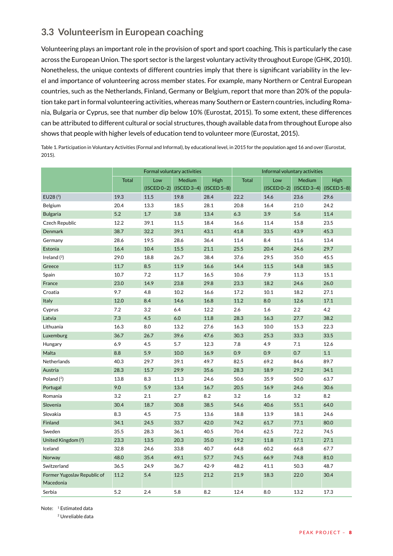## <span id="page-7-0"></span>**3.3 Volunteerism in European coaching**

Volunteering plays an important role in the provision of sport and sport coaching. This is particularly the case across the European Union. The sport sector is the largest voluntary activity throughout Europe (GHK, 2010). Nonetheless, the unique contexts of different countries imply that there is significant variability in the level and importance of volunteering across member states. For example, many Northern or Central European countries, such as the Netherlands, Finland, Germany or Belgium, report that more than 20% of the population take part in formal volunteering activities, whereas many Southern or Eastern countries, including Romania, Bulgaria or Cyprus, see that number dip below 10% (Eurostat, 2015). To some extent, these differences can be attributed to different cultural or social structures, though available data from throughout Europe also shows that people with higher levels of education tend to volunteer more (Eurostat, 2015).

Table 1. Participation in Voluntary Activities (Formal and Informal), by educational level, in 2015 for the population aged 16 and over (Eurostat, 2015).

|                             |              |               | Formal voluntary activities |               | Informal voluntary activities |               |               |               |  |  |
|-----------------------------|--------------|---------------|-----------------------------|---------------|-------------------------------|---------------|---------------|---------------|--|--|
|                             | <b>Total</b> | Low           | <b>Medium</b>               | High          | <b>Total</b>                  | Low           | Medium        | High          |  |  |
|                             |              | $(ISCED 0-2)$ | $(ISCED 3-4)$               | $(ISCED 5-8)$ |                               | $(ISCED 0-2)$ | $(ISCED 3-4)$ | $(ISCED 5-8)$ |  |  |
| EU28 (1)                    | 19.3         | 11.5          | 19.8                        | 28.4          | 22.2                          | 14.6          | 23.6          | 29.6          |  |  |
| Belgium                     | 20.4         | 13.3          | 18.5                        | 28.1          | 20.8                          | 16.4          | 21.0          | 24.2          |  |  |
| <b>Bulgaria</b>             | 5.2          | 1.7           | 3.8                         | 13.4          | 6.3                           | 3.9           | 5.6           | 11.4          |  |  |
| Czech Republic              | 12.2         | 39.1          | 11.5                        | 18.4          | 16.6                          | 11.4          | 15.8          | 23.5          |  |  |
| Denmark                     | 38.7         | 32.2          | 39.1                        | 43.1          | 41.8                          | 33.5          | 43.9          | 45.3          |  |  |
| Germany                     | 28.6         | 19.5          | 28.6                        | 36.4          | 11.4                          | 8.4           | 11.6          | 13.4          |  |  |
| Estonia                     | 16.4         | 10.4          | 15.5                        | 21.1          | 25.5                          | 20.4          | 24.6          | 29.7          |  |  |
| Ireland $(2)$               | 29.0         | 18.8          | 26.7                        | 38.4          | 37.6                          | 29.5          | 35.0          | 45.5          |  |  |
| Greece                      | 11.7         | 8.5           | 11.9                        | 16.6          | 14.4                          | 11.5          | 14.8          | 18.5          |  |  |
| Spain                       | 10.7         | 7.2           | 11.7                        | 16.5          | 10.6                          | 7.9           | 11.3          | 15.1          |  |  |
| France                      | 23.0         | 14.9          | 23.8                        | 29.8          | 23.3                          | 18.2          | 24.6          | 26.0          |  |  |
| Croatia                     | 9.7          | 4.8           | 10.2                        | 16.6          | 17.2                          | 10.1          | 18.2          | 27.1          |  |  |
| Italy                       | 12.0         | 8.4           | 14.6                        | 16.8          | 11.2                          | 8.0           | 12.6          | 17.1          |  |  |
| Cyprus                      | 7.2          | 3.2           | 6.4                         | 12.2          | 2.6                           | 1.6           | 2.2           | 4.2           |  |  |
| Latvia                      | 7.3          | 4.5           | 6.0                         | 11.8          | 28.3                          | 16.3          | 27.7          | 38.2          |  |  |
| Lithuania                   | 16.3         | 8.0           | 13.2                        | 27.6          | 16.3                          | 10.0          | 15.3          | 22.3          |  |  |
| Luxemburg                   | 36.7         | 26.7          | 39.6                        | 47.6          | 30.3                          | 25.3          | 33.3          | 33.5          |  |  |
| Hungary                     | 6.9          | 4.5           | 5.7                         | 12.3          | 7.8                           | 4.9           | 7.1           | 12.6          |  |  |
| Malta                       | 8.8          | 5.9           | 10.0                        | 16.9          | 0.9                           | 0.9           | 0.7           | $1.1$         |  |  |
| Netherlands                 | 40.3         | 29.7          | 39.1                        | 49.7          | 82.5                          | 69.2          | 84.6          | 89.7          |  |  |
| Austria                     | 28.3         | 15.7          | 29.9                        | 35.6          | 28.3                          | 18.9          | 29.2          | 34.1          |  |  |
| Poland $(2)$                | 13.8         | 8.3           | 11.3                        | 24.6          | 50.6                          | 35.9          | 50.0          | 63.7          |  |  |
| Portugal                    | 9.0          | 5.9           | 13.4                        | 16.7          | 20.5                          | 16.9          | 24.6          | 30.6          |  |  |
| Romania                     | 3.2          | 2.1           | 2.7                         | 8.2           | 3.2                           | 1.6           | 3.2           | 8.2           |  |  |
| Slovenia                    | 30.4         | 18.7          | 30.8                        | 38.5          | 54.6                          | 40.6          | 55.1          | 64.0          |  |  |
| Slovakia                    | 8.3          | 4.5           | 7.5                         | 13.6          | 18.8                          | 13.9          | 18.1          | 24.6          |  |  |
| Finland                     | 34.1         | 24.5          | 33.7                        | 42.0          | 74.2                          | 61.7          | 77.1          | 80.0          |  |  |
| Sweden                      | 35.5         | 28.3          | 36.1                        | 40.5          | 70.4                          | 62.5          | 72.2          | 74.5          |  |  |
| United Kingdom (2)          | 23.3         | 13.5          | 20.3                        | 35.0          | 19.2                          | 11.8          | 17.1          | 27.1          |  |  |
| Iceland                     | 32.8         | 24.6          | 33.8                        | 40.7          | 64.8                          | 60.2          | 66.8          | 67.7          |  |  |
| Norway                      | 48.0         | 35.4          | 49.1                        | 57.7          | 74.5                          | 66.9          | 74.8          | 81.0          |  |  |
| Switzerland                 | 36.5         | 24.9          | 36.7                        | 42-9          | 48.2                          | 41.1          | 50.3          | 48.7          |  |  |
| Former Yugoslav Republic of | 11.2         | 5.4           | 12.5                        | 21.2          | 21.9                          | 18.3          | 22.0          | 30.4          |  |  |
| Macedonia                   |              |               |                             |               |                               |               |               |               |  |  |
| Serbia                      | 5.2          | 2.4           | 5.8                         | 8.2           | 12.4                          | 8.0           | 13.2          | 17.3          |  |  |

Note: <sup>1</sup> Estimated data

2 Unreliable data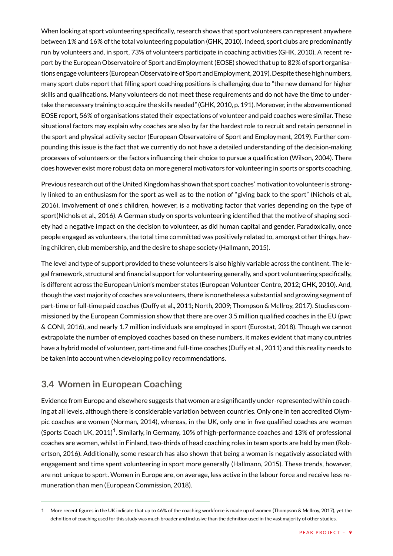<span id="page-8-0"></span>When looking at sport volunteering specifically, research shows that sport volunteers can represent anywhere between 1% and 16% of the total volunteering population (GHK, 2010). Indeed, sport clubs are predominantly run by volunteers and, in sport, 73% of volunteers participate in coaching activities (GHK, 2010). A recent report by the European Observatoire of Sport and Employment (EOSE) showed that up to 82% of sport organisations engage volunteers (European Observatoire of Sport and Employment, 2019). Despite these high numbers, many sport clubs report that filling sport coaching positions is challenging due to "the new demand for higher skills and qualifications. Many volunteers do not meet these requirements and do not have the time to undertake the necessary training to acquire the skills needed" (GHK, 2010, p. 191). Moreover, in the abovementioned EOSE report, 56% of organisations stated their expectations of volunteer and paid coaches were similar. These situational factors may explain why coaches are also by far the hardest role to recruit and retain personnel in the sport and physical activity sector (European Observatoire of Sport and Employment, 2019). Further compounding this issue is the fact that we currently do not have a detailed understanding of the decision-making processes of volunteers or the factors influencing their choice to pursue a qualification (Wilson, 2004). There does however exist more robust data on more general motivators for volunteering in sports or sports coaching.

Previous research out of the United Kingdom has shown that sport coaches' motivation to volunteer is strongly linked to an enthusiasm for the sport as well as to the notion of "giving back to the sport" (Nichols et al., 2016). Involvement of one's children, however, is a motivating factor that varies depending on the type of sport(Nichols et al., 2016). A German study on sports volunteering identified that the motive of shaping society had a negative impact on the decision to volunteer, as did human capital and gender. Paradoxically, once people engaged as volunteers, the total time committed was positively related to, amongst other things, having children, club membership, and the desire to shape society (Hallmann, 2015).

The level and type of support provided to these volunteers is also highly variable across the continent. The legal framework, structural and financial support for volunteering generally, and sport volunteering specifically, is different across the European Union's member states (European Volunteer Centre, 2012; GHK, 2010). And, though the vast majority of coaches are volunteers, there is nonetheless a substantial and growing segment of part-time or full-time paid coaches (Duffy et al., 2011; North, 2009; Thompson & McIlroy, 2017). Studies commissioned by the European Commission show that there are over 3.5 million qualified coaches in the EU (pwc & CONI, 2016), and nearly 1.7 million individuals are employed in sport (Eurostat, 2018). Though we cannot extrapolate the number of employed coaches based on these numbers, it makes evident that many countries have a hybrid model of volunteer, part-time and full-time coaches (Duffy et al., 2011) and this reality needs to be taken into account when developing policy recommendations.

## **3.4 Women in European Coaching**

Evidence from Europe and elsewhere suggests that women are significantly under-represented within coaching at all levels, although there is considerable variation between countries. Only one in ten accredited Olympic coaches are women (Norman, 2014), whereas, in the UK, only one in five qualified coaches are women (Sports Coach UK, 2011)<sup>1</sup>. Similarly, in Germany, 10% of high-performance coaches and 13% of professional coaches are women, whilst in Finland, two-thirds of head coaching roles in team sports are held by men (Robertson, 2016). Additionally, some research has also shown that being a woman is negatively associated with engagement and time spent volunteering in sport more generally (Hallmann, 2015). These trends, however, are not unique to sport. Women in Europe are, on average, less active in the labour force and receive less remuneration than men (European Commission, 2018).

<sup>1</sup> More recent figures in the UK indicate that up to 46% of the coaching workforce is made up of women (Thompson & McIlroy, 2017), yet the definition of coaching used for this study was much broader and inclusive than the definition used in the vast majority of other studies.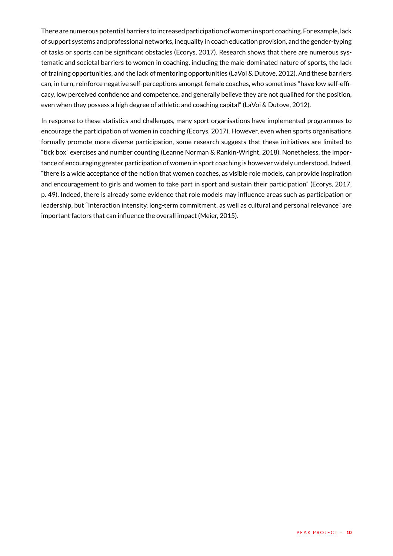There are numerous potential barriers to increased participation of women in sport coaching. For example, lack of support systems and professional networks, inequality in coach education provision, and the gender-typing of tasks or sports can be significant obstacles (Ecorys, 2017). Research shows that there are numerous systematic and societal barriers to women in coaching, including the male-dominated nature of sports, the lack of training opportunities, and the lack of mentoring opportunities (LaVoi & Dutove, 2012). And these barriers can, in turn, reinforce negative self-perceptions amongst female coaches, who sometimes "have low self-efficacy, low perceived confidence and competence, and generally believe they are not qualified for the position, even when they possess a high degree of athletic and coaching capital" (LaVoi & Dutove, 2012).

In response to these statistics and challenges, many sport organisations have implemented programmes to encourage the participation of women in coaching (Ecorys, 2017). However, even when sports organisations formally promote more diverse participation, some research suggests that these initiatives are limited to "tick box" exercises and number counting (Leanne Norman & Rankin-Wright, 2018). Nonetheless, the importance of encouraging greater participation of women in sport coaching is however widely understood. Indeed, "there is a wide acceptance of the notion that women coaches, as visible role models, can provide inspiration and encouragement to girls and women to take part in sport and sustain their participation" (Ecorys, 2017, p. 49). Indeed, there is already some evidence that role models may influence areas such as participation or leadership, but "Interaction intensity, long-term commitment, as well as cultural and personal relevance" are important factors that can influence the overall impact (Meier, 2015).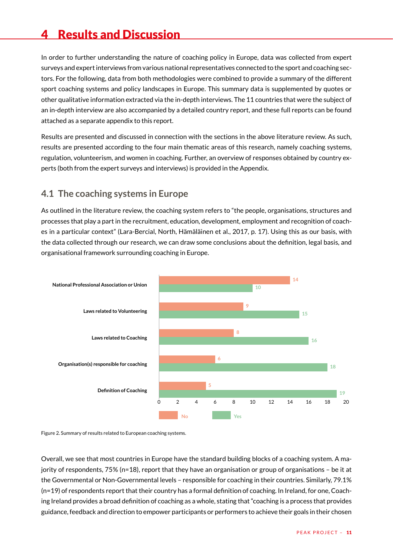# <span id="page-10-0"></span>4 Results and Discussion

In order to further understanding the nature of coaching policy in Europe, data was collected from expert surveys and expert interviews from various national representatives connected to the sport and coaching sectors. For the following, data from both methodologies were combined to provide a summary of the different sport coaching systems and policy landscapes in Europe. This summary data is supplemented by quotes or other qualitative information extracted via the in-depth interviews. The 11 countries that were the subject of an in-depth interview are also accompanied by a detailed country report, and these full reports can be found attached as a separate appendix to this report.

Results are presented and discussed in connection with the sections in the above literature review. As such, results are presented according to the four main thematic areas of this research, namely coaching systems, regulation, volunteerism, and women in coaching. Further, an overview of responses obtained by country experts (both from the expert surveys and interviews) is provided in the Appendix.

#### **4.1 The coaching systems in Europe**

As outlined in the literature review, the coaching system refers to "the people, organisations, structures and processes that play a part in the recruitment, education, development, employment and recognition of coaches in a particular context" (Lara-Bercial, North, Hämäläinen et al., 2017, p. 17). Using this as our basis, with the data collected through our research, we can draw some conclusions about the definition, legal basis, and organisational framework surrounding coaching in Europe.



Figure 2. Summary of results related to European coaching systems.

Overall, we see that most countries in Europe have the standard building blocks of a coaching system. A majority of respondents, 75% (n=18), report that they have an organisation or group of organisations – be it at the Governmental or Non-Governmental levels – responsible for coaching in their countries. Similarly, 79.1%  $(n=19)$  of respondents report that their country has a formal definition of coaching. In Ireland, for one, Coaching Ireland provides a broad definition of coaching as a whole, stating that "coaching is a process that provides guidance, feedback and direction to empower participants or performers to achieve their goals in their chosen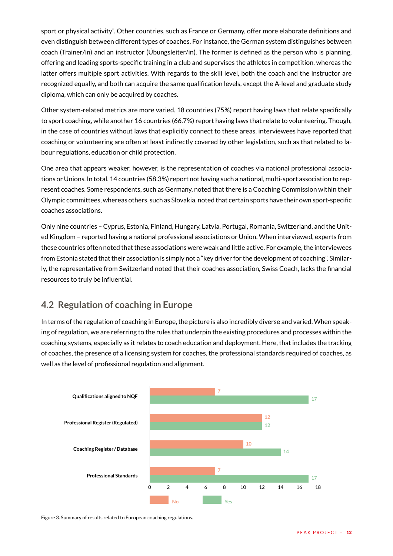<span id="page-11-0"></span>sport or physical activity". Other countries, such as France or Germany, offer more elaborate definitions and even distinguish between different types of coaches. For instance, the German system distinguishes between coach (Trainer/in) and an instructor (Übungsleiter/in). The former is defined as the person who is planning, offering and leading sports-specific training in a club and supervises the athletes in competition, whereas the latter offers multiple sport activities. With regards to the skill level, both the coach and the instructor are recognized equally, and both can acquire the same qualification levels, except the A-level and graduate study diploma, which can only be acquired by coaches.

Other system-related metrics are more varied. 18 countries (75%) report having laws that relate specifically to sport coaching, while another 16 countries (66.7%) report having laws that relate to volunteering. Though, in the case of countries without laws that explicitly connect to these areas, interviewees have reported that coaching or volunteering are often at least indirectly covered by other legislation, such as that related to labour regulations, education or child protection.

One area that appears weaker, however, is the representation of coaches via national professional associations or Unions. In total, 14 countries (58.3%) report not having such a national, multi-sport association to represent coaches. Some respondents, such as Germany, noted that there is a Coaching Commission within their Olympic committees, whereas others, such as Slovakia, noted that certain sports have their own sport-specific coaches associations.

Only nine countries – Cyprus, Estonia, Finland, Hungary, Latvia, Portugal, Romania, Switzerland, and the United Kingdom – reported having a national professional associations or Union. When interviewed, experts from these countries often noted that these associations were weak and little active. For example, the interviewees from Estonia stated that their association is simply not a "key driver for the development of coaching". Similarly, the representative from Switzerland noted that their coaches association, Swiss Coach, lacks the financial resources to truly be influential.

## **4.2 Regulation of coaching in Europe**

In terms of the regulation of coaching in Europe, the picture is also incredibly diverse and varied. When speaking of regulation, we are referring to the rules that underpin the existing procedures and processes within the coaching systems, especially as it relates to coach education and deployment. Here, that includes the tracking of coaches, the presence of a licensing system for coaches, the professional standards required of coaches, as well as the level of professional regulation and alignment.



Figure 3. Summary of results related to European coaching regulations.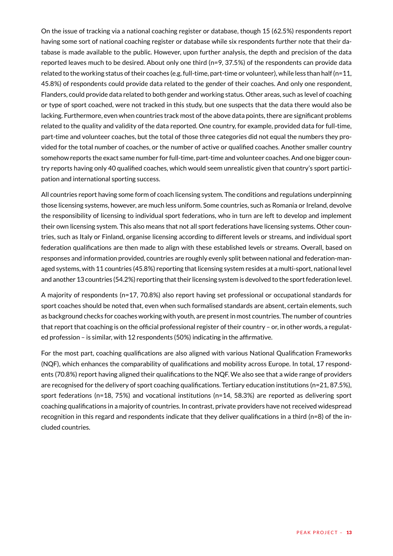On the issue of tracking via a national coaching register or database, though 15 (62.5%) respondents report having some sort of national coaching register or database while six respondents further note that their database is made available to the public. However, upon further analysis, the depth and precision of the data reported leaves much to be desired. About only one third (n=9, 37.5%) of the respondents can provide data related to the working status of their coaches (e.g. full-time, part-time or volunteer), while less than half (n=11, 45.8%) of respondents could provide data related to the gender of their coaches. And only one respondent, Flanders, could provide data related to both gender and working status. Other areas, such as level of coaching or type of sport coached, were not tracked in this study, but one suspects that the data there would also be lacking. Furthermore, even when countries track most of the above data points, there are significant problems related to the quality and validity of the data reported. One country, for example, provided data for full-time, part-time and volunteer coaches, but the total of those three categories did not equal the numbers they provided for the total number of coaches, or the number of active or qualified coaches. Another smaller country somehow reports the exact same number for full-time, part-time and volunteer coaches. And one bigger country reports having only 40 qualified coaches, which would seem unrealistic given that country's sport participation and international sporting success.

All countries report having some form of coach licensing system. The conditions and regulations underpinning those licensing systems, however, are much less uniform. Some countries, such as Romania or Ireland, devolve the responsibility of licensing to individual sport federations, who in turn are left to develop and implement their own licensing system. This also means that not all sport federations have licensing systems. Other countries, such as Italy or Finland, organise licensing according to different levels or streams, and individual sport federation qualifications are then made to align with these established levels or streams. Overall, based on responses and information provided, countries are roughly evenly split between national and federation-managed systems, with 11 countries (45.8%) reporting that licensing system resides at a multi-sport, national level and another 13 countries (54.2%) reporting that their licensing system is devolved to the sport federation level.

A majority of respondents (n=17, 70.8%) also report having set professional or occupational standards for sport coaches should be noted that, even when such formalised standards are absent, certain elements, such as background checks for coaches working with youth, are present in most countries. The number of countries that report that coaching is on the official professional register of their country – or, in other words, a regulated profession – is similar, with 12 respondents (50%) indicating in the affirmative.

For the most part, coaching qualifications are also aligned with various National Qualification Frameworks (NQF), which enhances the comparability of qualifications and mobility across Europe. In total, 17 respondents (70.8%) report having aligned their qualifications to the NQF. We also see that a wide range of providers are recognised for the delivery of sport coaching qualifications. Tertiary education institutions (n=21, 87.5%), sport federations (n=18, 75%) and vocational institutions (n=14, 58.3%) are reported as delivering sport coaching qualifications in a majority of countries. In contrast, private providers have not received widespread recognition in this regard and respondents indicate that they deliver qualifications in a third (n=8) of the included countries.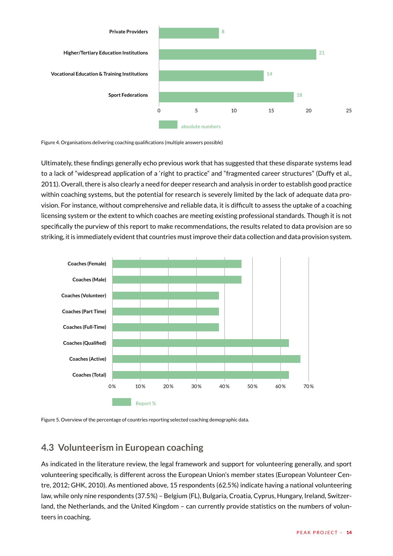<span id="page-13-0"></span>

Figure 4. Organisations delivering coaching qualifications (multiple answers possible)

Ultimately, these findings generally echo previous work that has suggested that these disparate systems lead to a lack of "widespread application of a 'right to practice" and "fragmented career structures" (Duffy et al., 2011). Overall, there is also clearly a need for deeper research and analysis in order to establish good practice within coaching systems, but the potential for research is severely limited by the lack of adequate data provision. For instance, without comprehensive and reliable data, it is difficult to assess the uptake of a coaching licensing system or the extent to which coaches are meeting existing professional standards. Though it is not specifically the purview of this report to make recommendations, the results related to data provision are so striking, it is immediately evident that countries must improve their data collection and data provision system.





#### **4.3 Volunteerism in European coaching**

As indicated in the literature review, the legal framework and support for volunteering generally, and sport volunteering specifically, is different across the European Union's member states (European Volunteer Centre, 2012; GHK, 2010). As mentioned above, 15 respondents (62.5%) indicate having a national volunteering law, while only nine respondents (37.5%) – Belgium (FL), Bulgaria, Croatia, Cyprus, Hungary, Ireland, Switzerland, the Netherlands, and the United Kingdom – can currently provide statistics on the numbers of volunteers in coaching.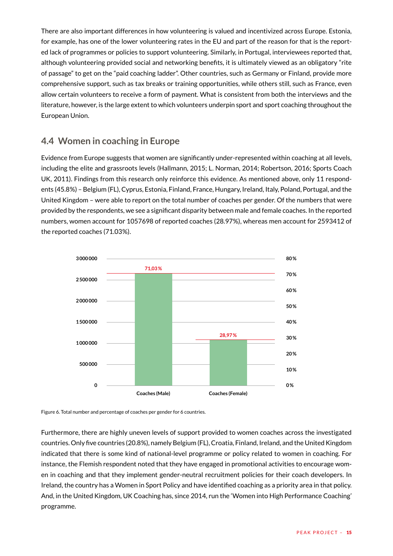<span id="page-14-0"></span>There are also important differences in how volunteering is valued and incentivized across Europe. Estonia, for example, has one of the lower volunteering rates in the EU and part of the reason for that is the reported lack of programmes or policies to support volunteering. Similarly, in Portugal, interviewees reported that, although volunteering provided social and networking benefits, it is ultimately viewed as an obligatory "rite of passage" to get on the "paid coaching ladder". Other countries, such as Germany or Finland, provide more comprehensive support, such as tax breaks or training opportunities, while others still, such as France, even allow certain volunteers to receive a form of payment. What is consistent from both the interviews and the literature, however, is the large extent to which volunteers underpin sport and sport coaching throughout the European Union.

## **4.4 Women in coaching in Europe**

Evidence from Europe suggests that women are significantly under-represented within coaching at all levels, including the elite and grassroots levels (Hallmann, 2015; L. Norman, 2014; Robertson, 2016; Sports Coach UK, 2011). Findings from this research only reinforce this evidence. As mentioned above, only 11 respondents (45.8%) – Belgium (FL), Cyprus, Estonia, Finland, France, Hungary, Ireland, Italy, Poland, Portugal, and the United Kingdom – were able to report on the total number of coaches per gender. Of the numbers that were provided by the respondents, we see a significant disparity between male and female coaches. In the reported numbers, women account for 1057698 of reported coaches (28.97%), whereas men account for 2593412 of the reported coaches (71.03%).



Figure 6. Total number and percentage of coaches per gender for 6 countries.

Furthermore, there are highly uneven levels of support provided to women coaches across the investigated countries. Only five countries (20.8%), namely Belgium (FL), Croatia, Finland, Ireland, and the United Kingdom indicated that there is some kind of national-level programme or policy related to women in coaching. For instance, the Flemish respondent noted that they have engaged in promotional activities to encourage women in coaching and that they implement gender-neutral recruitment policies for their coach developers. In Ireland, the country has a Women in Sport Policy and have identified coaching as a priority area in that policy. And, in the United Kingdom, UK Coaching has, since 2014, run the 'Women into High Performance Coaching' programme.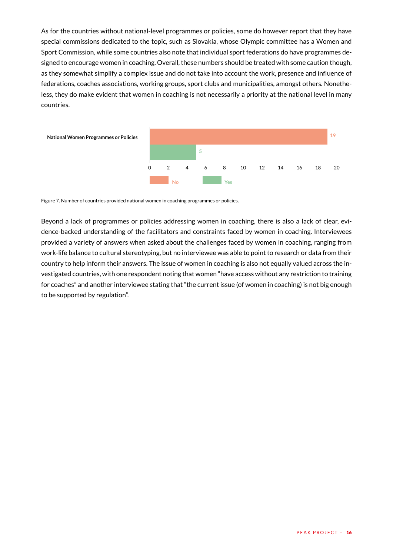As for the countries without national-level programmes or policies, some do however report that they have special commissions dedicated to the topic, such as Slovakia, whose Olympic committee has a Women and Sport Commission, while some countries also note that individual sport federations do have programmes designed to encourage women in coaching. Overall, these numbers should be treated with some caution though, as they somewhat simplify a complex issue and do not take into account the work, presence and influence of federations, coaches associations, working groups, sport clubs and municipalities, amongst others. Nonetheless, they do make evident that women in coaching is not necessarily a priority at the national level in many countries.



Figure 7. Number of countries provided national women in coaching programmes or policies.

Beyond a lack of programmes or policies addressing women in coaching, there is also a lack of clear, evidence-backed understanding of the facilitators and constraints faced by women in coaching. Interviewees provided a variety of answers when asked about the challenges faced by women in coaching, ranging from work-life balance to cultural stereotyping, but no interviewee was able to point to research or data from their country to help inform their answers. The issue of women in coaching is also not equally valued across the investigated countries, with one respondent noting that women "have access without any restriction to training for coaches" and another interviewee stating that "the current issue (of women in coaching) is not big enough to be supported by regulation".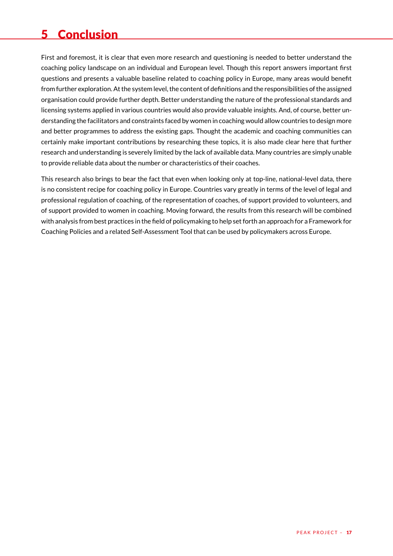# <span id="page-16-0"></span>5 Conclusion

First and foremost, it is clear that even more research and questioning is needed to better understand the coaching policy landscape on an individual and European level. Though this report answers important first questions and presents a valuable baseline related to coaching policy in Europe, many areas would benefit from further exploration. At the system level, the content of definitions and the responsibilities of the assigned organisation could provide further depth. Better understanding the nature of the professional standards and licensing systems applied in various countries would also provide valuable insights. And, of course, better understanding the facilitators and constraints faced by women in coaching would allow countries to design more and better programmes to address the existing gaps. Thought the academic and coaching communities can certainly make important contributions by researching these topics, it is also made clear here that further research and understanding is severely limited by the lack of available data. Many countries are simply unable to provide reliable data about the number or characteristics of their coaches.

This research also brings to bear the fact that even when looking only at top-line, national-level data, there is no consistent recipe for coaching policy in Europe. Countries vary greatly in terms of the level of legal and professional regulation of coaching, of the representation of coaches, of support provided to volunteers, and of support provided to women in coaching. Moving forward, the results from this research will be combined with analysis from best practices in the field of policymaking to help set forth an approach for a Framework for Coaching Policies and a related Self-Assessment Tool that can be used by policymakers across Europe.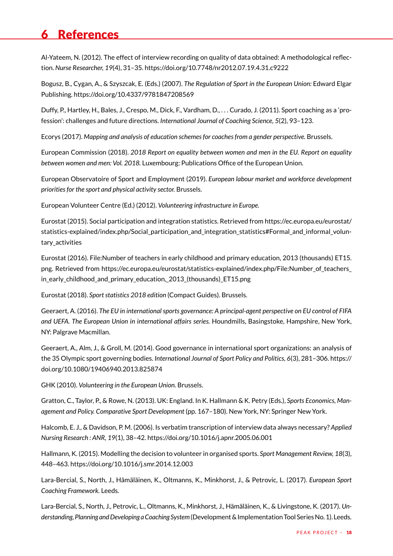# <span id="page-17-0"></span>6 References

Al-Yateem, N. (2012). The effect of interview recording on quality of data obtained: A methodological reflection. *Nurse Researcher, 19*(4), 31–35. https://doi.org/10.7748/nr2012.07.19.4.31.c9222

Bogusz, B., Cygan, A., & Szyszcak, E. (Eds.) (2007). *The Regulation of Sport in the European Union:* Edward Elgar Publishing. https://doi.org/10.4337/9781847208569

Duffy, P., Hartley, H., Bales, J., Crespo, M., Dick, F., Vardham, D., . . . Curado, J. (2011). Sport coaching as a 'profession': challenges and future directions. *International Journal of Coaching Science, 5*(2), 93–123.

Ecorys (2017). *Mapping and analysis of education schemes for coaches from a gender perspective.* Brussels.

European Commission (2018). *2018 Report on equality between women and men in the EU. Report on equality between women and men: Vol. 2018.* Luxembourg: Publications Office of the European Union.

European Observatoire of Sport and Employment (2019). *European labour market and workforce development priorities for the sport and physical activity sector.* Brussels.

European Volunteer Centre (Ed.) (2012). *Volunteering infrastructure in Europe.*

Eurostat (2015). Social participation and integration statistics. Retrieved from https://ec.europa.eu/eurostat/ statistics-explained/index.php/Social\_participation\_and\_integration\_statistics#Formal\_and\_informal\_voluntary activities

Eurostat (2016). File:Number of teachers in early childhood and primary education, 2013 (thousands) ET15. png. Retrieved from https://ec.europa.eu/eurostat/statistics-explained/index.php/File:Number\_of\_teachers\_ in\_early\_childhood\_and\_primary\_education,\_2013\_(thousands)\_ET15.png

Eurostat (2018). *Sport statistics 2018 edition* (Compact Guides). Brussels.

Geeraert, A. (2016). *The EU in international sports governance: A principal-agent perspective on EU control of FIFA and UEFA. The European Union in international affairs series.* Houndmills, Basingstoke, Hampshire, New York, NY: Palgrave Macmillan.

Geeraert, A., Alm, J., & Groll, M. (2014). Good governance in international sport organizations: an analysis of the 35 Olympic sport governing bodies. *International Journal of Sport Policy and Politics, 6*(3), 281–306. https:// doi.org/10.1080/19406940.2013.825874

GHK (2010). *Volunteering in the European Union.* Brussels.

Gratton, C., Taylor, P., & Rowe, N. (2013). UK: England. In K. Hallmann & K. Petry (Eds.), *Sports Economics, Management and Policy. Comparative Sport Development* (pp. 167–180). New York, NY: Springer New York.

Halcomb, E. J., & Davidson, P. M. (2006). Is verbatim transcription of interview data always necessary? *Applied Nursing Research : ANR, 19*(1), 38–42. https://doi.org/10.1016/j.apnr.2005.06.001

Hallmann, K. (2015). Modelling the decision to volunteer in organised sports. *Sport Management Review, 18*(3), 448–463. https://doi.org/10.1016/j.smr.2014.12.003

Lara-Bercial, S., North, J., Hämäläinen, K., Oltmanns, K., Minkhorst, J., & Petrovic, L. (2017). *European Sport Coaching Framework.* Leeds.

Lara-Bercial, S., North, J., Petrovic, L., Oltmanns, K., Minkhorst, J., Hämäläinen, K., & Livingstone, K. (2017). *Understanding, Planning and Developing a Coaching System* (Development & Implementation Tool Series No. 1). Leeds.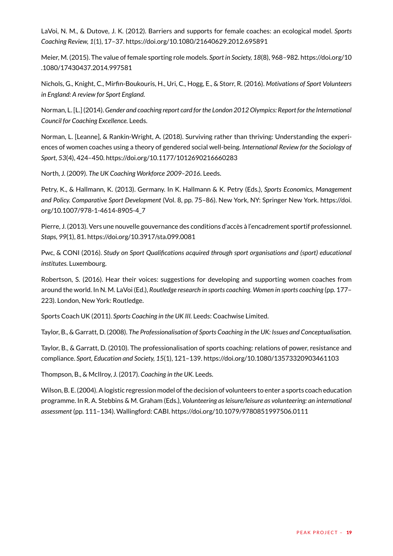LaVoi, N. M., & Dutove, J. K. (2012). Barriers and supports for female coaches: an ecological model. *Sports Coaching Review, 1*(1), 17–37. https://doi.org/10.1080/21640629.2012.695891

Meier, M. (2015). The value of female sporting role models. *Sport in Society, 18*(8), 968–982. https://doi.org/10 .1080/17430437.2014.997581

Nichols, G., Knight, C., Mirfin-Boukouris, H., Uri, C., Hogg, E., & Storr, R. (2016). *Motivations of Sport Volunteers in England: A review for Sport England.* 

Norman, L. [L.] (2014). *Gender and coaching report card for the London 2012 Olympics: Report for the International Council for Coaching Excellence.* Leeds.

Norman, L. [Leanne], & Rankin-Wright, A. (2018). Surviving rather than thriving: Understanding the experiences of women coaches using a theory of gendered social well-being. *International Review for the Sociology of Sport, 53*(4), 424–450. https://doi.org/10.1177/1012690216660283

North, J. (2009). *The UK Coaching Workforce 2009–2016.* Leeds.

Petry, K., & Hallmann, K. (2013). Germany. In K. Hallmann & K. Petry (Eds.), *Sports Economics, Management and Policy. Comparative Sport Development* (Vol. 8, pp. 75–86). New York, NY: Springer New York. https://doi. org/10.1007/978-1-4614-8905-4\_7

Pierre, J. (2013). Vers une nouvelle gouvernance des conditions d'accès à l'encadrement sportif professionnel. *Staps, 99*(1), 81. https://doi.org/10.3917/sta.099.0081

Pwc, & CONI (2016). *Study on Sport Qualifications acquired through sport organisations and (sport) educational institutes.* Luxembourg.

Robertson, S. (2016). Hear their voices: suggestions for developing and supporting women coaches from around the world. In N. M. LaVoi (Ed.), *Routledge research in sports coaching. Women in sports coaching* (pp. 177– 223). London, New York: Routledge.

Sports Coach UK (2011). *Sports Coaching in the UK III.* Leeds: Coachwise Limited.

Taylor, B., & Garratt, D. (2008). *The Professionalisation of Sports Coaching in the UK: Issues and Conceptualisation.*

Taylor, B., & Garratt, D. (2010). The professionalisation of sports coaching: relations of power, resistance and compliance. *Sport, Education and Society, 15*(1), 121–139. https://doi.org/10.1080/13573320903461103

Thompson, B., & McIlroy, J. (2017). *Coaching in the UK.* Leeds.

Wilson, B. E. (2004). A logistic regression model of the decision of volunteers to enter a sports coach education programme. In R. A. Stebbins & M. Graham (Eds.), *Volunteering as leisure/leisure as volunteering: an international assessment* (pp. 111–134). Wallingford: CABI. https://doi.org/10.1079/9780851997506.0111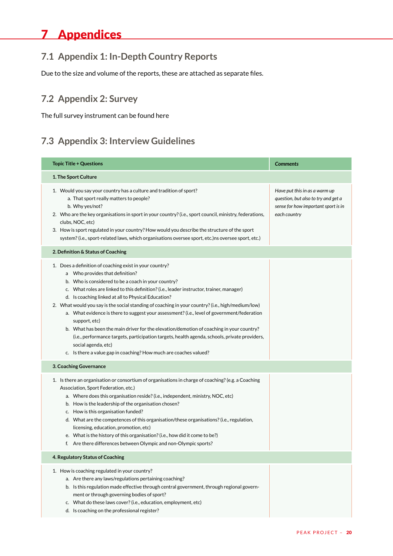# <span id="page-19-0"></span>7 Appendices

## **7.1 Appendix 1: In-Depth Country Reports**

Due to the size and volume of the reports, these are attached as separate files.

## **7.2 Appendix 2: Survey**

The full survey instrument can be found here

## **7.3 Appendix 3: Interview Guidelines**

| <b>Topic Title + Questions</b>                                                                                                                                                                                                                                                                                                                                                                                                                                                                                                                                                                                                                                                                                                                                                                                     | <b>Comments</b>                                                                                                             |  |  |  |  |  |  |  |  |
|--------------------------------------------------------------------------------------------------------------------------------------------------------------------------------------------------------------------------------------------------------------------------------------------------------------------------------------------------------------------------------------------------------------------------------------------------------------------------------------------------------------------------------------------------------------------------------------------------------------------------------------------------------------------------------------------------------------------------------------------------------------------------------------------------------------------|-----------------------------------------------------------------------------------------------------------------------------|--|--|--|--|--|--|--|--|
| 1. The Sport Culture                                                                                                                                                                                                                                                                                                                                                                                                                                                                                                                                                                                                                                                                                                                                                                                               |                                                                                                                             |  |  |  |  |  |  |  |  |
| 1. Would you say your country has a culture and tradition of sport?<br>a. That sport really matters to people?<br>b. Why yes/not?<br>2. Who are the key organisations in sport in your country? (i.e., sport council, ministry, federations,<br>clubs, NOC, etc)<br>3. How is sport regulated in your country? How would you describe the structure of the sport<br>system? (i.e., sport-related laws, which organisations oversee sport, etc.)ns oversee sport, etc.)                                                                                                                                                                                                                                                                                                                                             | Have put this in as a warm up<br>question, but also to try and get a<br>sense for how important sport is in<br>each country |  |  |  |  |  |  |  |  |
| 2. Definition & Status of Coaching                                                                                                                                                                                                                                                                                                                                                                                                                                                                                                                                                                                                                                                                                                                                                                                 |                                                                                                                             |  |  |  |  |  |  |  |  |
| 1. Does a definition of coaching exist in your country?<br>a Who provides that definition?<br>b. Who is considered to be a coach in your country?<br>c. What roles are linked to this definition? (i.e., leader instructor, trainer, manager)<br>d. Is coaching linked at all to Physical Education?<br>2. What would you say is the social standing of coaching in your country? (i.e., high/medium/low)<br>a. What evidence is there to suggest your assessment? (i.e., level of government/federation<br>support, etc)<br>b. What has been the main driver for the elevation/demotion of coaching in your country?<br>(i.e., performance targets, participation targets, health agenda, schools, private providers,<br>social agenda, etc)<br>c. Is there a value gap in coaching? How much are coaches valued? |                                                                                                                             |  |  |  |  |  |  |  |  |
| 3. Coaching Governance                                                                                                                                                                                                                                                                                                                                                                                                                                                                                                                                                                                                                                                                                                                                                                                             |                                                                                                                             |  |  |  |  |  |  |  |  |
| 1. Is there an organisation or consortium of organisations in charge of coaching? (e.g. a Coaching<br>Association, Sport Federation, etc.)<br>a. Where does this organisation reside? (i.e., independent, ministry, NOC, etc)<br>b. How is the leadership of the organisation chosen?<br>c. How is this organisation funded?<br>d. What are the competences of this organisation/these organisations? (i.e., regulation,<br>licensing, education, promotion, etc)<br>e. What is the history of this organisation? (i.e., how did it come to be?)<br>f. Are there differences between Olympic and non-Olympic sports?                                                                                                                                                                                               |                                                                                                                             |  |  |  |  |  |  |  |  |
| 4. Regulatory Status of Coaching                                                                                                                                                                                                                                                                                                                                                                                                                                                                                                                                                                                                                                                                                                                                                                                   |                                                                                                                             |  |  |  |  |  |  |  |  |
| 1. How is coaching regulated in your country?<br>a. Are there any laws/regulations pertaining coaching?<br>b. Is this regulation made effective through central government, through regional govern-<br>ment or through governing bodies of sport?<br>c. What do these laws cover? (i.e., education, employment, etc)<br>d. Is coaching on the professional register?                                                                                                                                                                                                                                                                                                                                                                                                                                              |                                                                                                                             |  |  |  |  |  |  |  |  |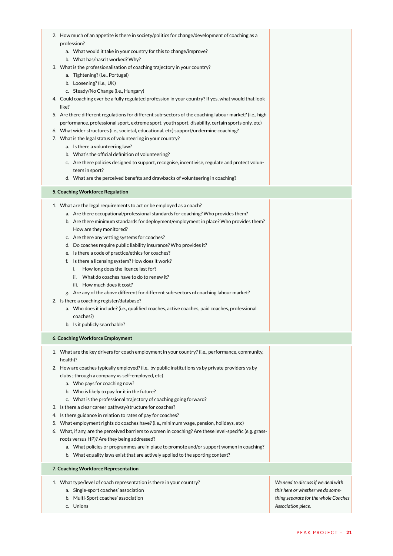| 2. How much of an appetite is there in society/politics for change/development of coaching as a<br>profession?<br>a. What would it take in your country for this to change/improve?<br>b. What has/hasn't worked? Why?<br>3. What is the professionalisation of coaching trajectory in your country?<br>a. Tightening? (i.e., Portugal)<br>b. Loosening? (i.e., UK)<br>c. Steady/No Change (i.e., Hungary)<br>4. Could coaching ever be a fully regulated profession in your country? If yes, what would that look<br>like?<br>5. Are there different regulations for different sub-sectors of the coaching labour market? (i.e., high<br>performance, professional sport, extreme sport, youth sport, disability, certain sports only, etc)<br>6. What wider structures (i.e., societal, educational, etc) support/undermine coaching?<br>7. What is the legal status of volunteering in your country?<br>a. Is there a volunteering law?<br>b. What's the official definition of volunteering?<br>c. Are there policies designed to support, recognise, incentivise, regulate and protect volun-<br>teers in sport?<br>d. What are the perceived benefits and drawbacks of volunteering in coaching? |                                                                                                                                      |
|--------------------------------------------------------------------------------------------------------------------------------------------------------------------------------------------------------------------------------------------------------------------------------------------------------------------------------------------------------------------------------------------------------------------------------------------------------------------------------------------------------------------------------------------------------------------------------------------------------------------------------------------------------------------------------------------------------------------------------------------------------------------------------------------------------------------------------------------------------------------------------------------------------------------------------------------------------------------------------------------------------------------------------------------------------------------------------------------------------------------------------------------------------------------------------------------------------|--------------------------------------------------------------------------------------------------------------------------------------|
| 5. Coaching Workforce Regulation                                                                                                                                                                                                                                                                                                                                                                                                                                                                                                                                                                                                                                                                                                                                                                                                                                                                                                                                                                                                                                                                                                                                                                       |                                                                                                                                      |
| 1. What are the legal requirements to act or be employed as a coach?<br>a. Are there occupational/professional standards for coaching? Who provides them?<br>b. Are there minimum standards for deployment/employment in place? Who provides them?<br>How are they monitored?<br>c. Are there any vetting systems for coaches?<br>d. Do coaches require public liability insurance? Who provides it?<br>e. Is there a code of practice/ethics for coaches?<br>f. Is there a licensing system? How does it work?<br>How long does the licence last for?<br>i.<br>What do coaches have to do to renew it?<br>ii.<br>iii. How much does it cost?<br>g. Are any of the above different for different sub-sectors of coaching labour market?<br>2. Is there a coaching register/database?<br>a. Who does it include? (i.e., qualified coaches, active coaches, paid coaches, professional<br>coaches?)<br>b. Is it publicly searchable?                                                                                                                                                                                                                                                                     |                                                                                                                                      |
| 6. Coaching Workforce Employment                                                                                                                                                                                                                                                                                                                                                                                                                                                                                                                                                                                                                                                                                                                                                                                                                                                                                                                                                                                                                                                                                                                                                                       |                                                                                                                                      |
| 1. What are the key drivers for coach employment in your country? (i.e., performance, community,<br>health)?<br>2. How are coaches typically employed? (i.e., by public institutions vs by private providers vs by<br>clubs; through a company vs self-employed, etc)<br>a. Who pays for coaching now?<br>b. Who is likely to pay for it in the future?<br>c. What is the professional trajectory of coaching going forward?<br>3. Is there a clear career pathway/structure for coaches?<br>4. Is there guidance in relation to rates of pay for coaches?<br>5. What employment rights do coaches have? (i.e., minimum wage, pension, holidays, etc)<br>6. What, if any, are the perceived barriers to women in coaching? Are these level-specific (e.g. grass-<br>roots versus HP)? Are they being addressed?<br>a. What policies or programmes are in place to promote and/or support women in coaching?<br>b. What equality laws exist that are actively applied to the sporting context?                                                                                                                                                                                                          |                                                                                                                                      |
| 7. Coaching Workforce Representation                                                                                                                                                                                                                                                                                                                                                                                                                                                                                                                                                                                                                                                                                                                                                                                                                                                                                                                                                                                                                                                                                                                                                                   |                                                                                                                                      |
| 1. What type/level of coach representation is there in your country?<br>a. Single-sport coaches' association<br>b. Multi-Sport coaches' association<br>c. Unions                                                                                                                                                                                                                                                                                                                                                                                                                                                                                                                                                                                                                                                                                                                                                                                                                                                                                                                                                                                                                                       | We need to discuss if we deal with<br>this here or whether we do some-<br>thing separate for the whole Coaches<br>Association piece. |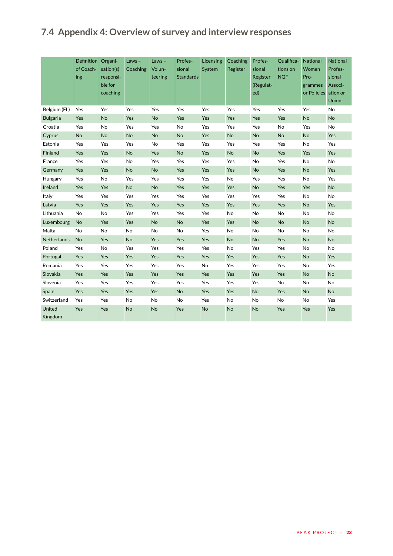## <span id="page-22-0"></span>**7.4 Appendix 4: Overview of survey and interview responses**

|                   | Definition Organi-<br>of Coach-<br>ing | sation(s)<br>responsi-<br>ble for<br>coaching | Laws-<br>Coaching | Laws-<br>Volun-<br>teering | Profes-<br>sional<br><b>Standards</b> | Licensing<br>System | Coaching<br>Register | Profes-<br>sional<br>Register<br>(Regulat-<br>ed) | Qualifica-<br>tions on<br><b>NQF</b> | National<br>Women<br>Pro-<br>grammes<br>or Policies ation or | National<br>Profes-<br>sional<br>Associ-<br>Union |
|-------------------|----------------------------------------|-----------------------------------------------|-------------------|----------------------------|---------------------------------------|---------------------|----------------------|---------------------------------------------------|--------------------------------------|--------------------------------------------------------------|---------------------------------------------------|
| Belgium (FL)      | Yes                                    | Yes                                           | Yes               | Yes                        | Yes                                   | Yes                 | Yes                  | Yes                                               | Yes                                  | Yes                                                          | No                                                |
| <b>Bulgaria</b>   | Yes                                    | <b>No</b>                                     | Yes               | <b>No</b>                  | Yes                                   | Yes                 | Yes                  | Yes                                               | Yes                                  | <b>No</b>                                                    | <b>No</b>                                         |
| Croatia           | Yes                                    | No                                            | Yes               | Yes                        | No                                    | Yes                 | Yes                  | Yes                                               | No                                   | Yes                                                          | No                                                |
| Cyprus            | No                                     | <b>No</b>                                     | <b>No</b>         | <b>No</b>                  | No                                    | Yes                 | <b>No</b>            | <b>No</b>                                         | <b>No</b>                            | <b>No</b>                                                    | Yes                                               |
| Estonia           | Yes                                    | Yes                                           | Yes               | No                         | Yes                                   | Yes                 | Yes                  | Yes                                               | Yes                                  | <b>No</b>                                                    | Yes                                               |
| Finland           | Yes                                    | Yes                                           | No                | Yes                        | No                                    | Yes                 | No                   | No                                                | Yes                                  | Yes                                                          | Yes                                               |
| France            | Yes                                    | Yes                                           | No                | Yes                        | Yes                                   | Yes                 | Yes                  | No                                                | Yes                                  | No                                                           | No                                                |
| Germany           | Yes                                    | Yes                                           | <b>No</b>         | <b>No</b>                  | Yes                                   | Yes                 | Yes                  | <b>No</b>                                         | Yes                                  | <b>No</b>                                                    | Yes                                               |
| Hungary           | Yes                                    | No                                            | Yes               | Yes                        | Yes                                   | Yes                 | No                   | Yes                                               | Yes                                  | No                                                           | Yes                                               |
| Ireland           | Yes                                    | Yes                                           | No                | <b>No</b>                  | Yes                                   | Yes                 | Yes                  | No                                                | Yes                                  | Yes                                                          | No                                                |
| Italy             | Yes                                    | Yes                                           | Yes               | Yes                        | Yes                                   | Yes                 | Yes                  | Yes                                               | Yes                                  | No                                                           | <b>No</b>                                         |
| Latvia            | Yes                                    | Yes                                           | Yes               | Yes                        | Yes                                   | Yes                 | Yes                  | Yes                                               | Yes                                  | <b>No</b>                                                    | Yes                                               |
| Lithuania         | No                                     | No                                            | Yes               | Yes                        | Yes                                   | Yes                 | No                   | No                                                | No                                   | No                                                           | No                                                |
| Luxembourg        | <b>No</b>                              | Yes                                           | Yes               | <b>No</b>                  | <b>No</b>                             | Yes                 | Yes                  | <b>No</b>                                         | <b>No</b>                            | <b>No</b>                                                    | <b>No</b>                                         |
| Malta             | No                                     | No                                            | No                | No                         | No                                    | Yes                 | No                   | No                                                | No                                   | No                                                           | No                                                |
| Netherlands       | No                                     | Yes                                           | <b>No</b>         | Yes                        | Yes                                   | Yes                 | <b>No</b>            | <b>No</b>                                         | Yes                                  | No                                                           | <b>No</b>                                         |
| Poland            | Yes                                    | No                                            | Yes               | Yes                        | Yes                                   | Yes                 | No                   | Yes                                               | Yes                                  | No                                                           | No                                                |
| Portugal          | Yes                                    | Yes                                           | Yes               | Yes                        | Yes                                   | Yes                 | Yes                  | Yes                                               | Yes                                  | No                                                           | Yes                                               |
| Romania           | Yes                                    | Yes                                           | Yes               | Yes                        | Yes                                   | No                  | Yes                  | Yes                                               | Yes                                  | No                                                           | Yes                                               |
| Slovakia          | Yes                                    | Yes                                           | Yes               | Yes                        | Yes                                   | Yes                 | Yes                  | Yes                                               | Yes                                  | No                                                           | <b>No</b>                                         |
| Slovenia          | Yes                                    | Yes                                           | Yes               | Yes                        | Yes                                   | Yes                 | Yes                  | Yes                                               | No                                   | No                                                           | No                                                |
| Spain             | Yes                                    | Yes                                           | Yes               | Yes                        | No                                    | Yes                 | Yes                  | No                                                | Yes                                  | <b>No</b>                                                    | No                                                |
| Switzerland       | Yes                                    | Yes                                           | No                | No                         | No                                    | Yes                 | No                   | No                                                | No                                   | No                                                           | Yes                                               |
| United<br>Kingdom | Yes                                    | Yes                                           | No                | No                         | Yes                                   | No                  | <b>No</b>            | No                                                | Yes                                  | Yes                                                          | Yes                                               |